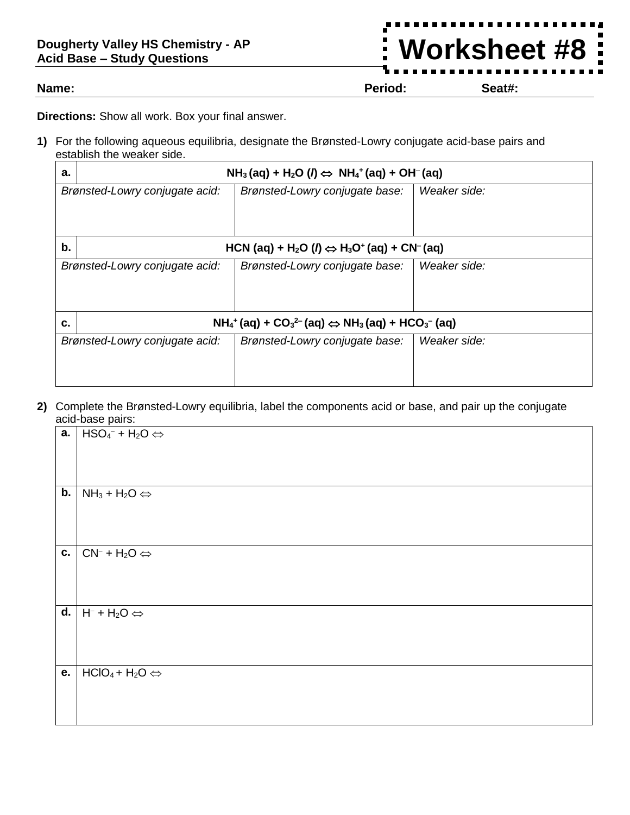## **Dougherty Valley HS Chemistry - AP Acid Base – Study Questions**

**Name: Period: Seat#:**

**Worksheet #8**

**Directions:** Show all work. Box your final answer.

**1)** For the following aqueous equilibria, designate the Brønsted-Lowry conjugate acid-base pairs and establish the weaker side.

| a.                             | $NH3(aq) + H2O (\theta) \Leftrightarrow NH4+(aq) + OH-(aq)$                                                        |                                |              |
|--------------------------------|--------------------------------------------------------------------------------------------------------------------|--------------------------------|--------------|
| Brønsted-Lowry conjugate acid: |                                                                                                                    | Brønsted-Lowry conjugate base: | Weaker side: |
|                                |                                                                                                                    |                                |              |
|                                |                                                                                                                    |                                |              |
| b.                             | HCN (aq) + H <sub>2</sub> O ( $\theta$ $\Leftrightarrow$ H <sub>3</sub> O <sup>+</sup> (aq) + CN <sup>-</sup> (aq) |                                |              |
| Brønsted-Lowry conjugate acid: |                                                                                                                    | Brønsted-Lowry conjugate base: | Weaker side: |
|                                |                                                                                                                    |                                |              |
|                                |                                                                                                                    |                                |              |
| C.                             | $NH_4^+(aq) + CO_3^{2-}(aq) \Leftrightarrow NH_3(aq) + HCO_3^{-}(aq)$                                              |                                |              |
| Brønsted-Lowry conjugate acid: |                                                                                                                    | Brønsted-Lowry conjugate base: | Weaker side: |
|                                |                                                                                                                    |                                |              |
|                                |                                                                                                                    |                                |              |

**2)** Complete the Brønsted-Lowry equilibria, label the components acid or base, and pair up the conjugate acid-base pairs:

|    | <b>a.</b> $HSO4- + H2O \Leftrightarrow$                                |
|----|------------------------------------------------------------------------|
|    |                                                                        |
|    |                                                                        |
| b. | $NH_3 + H_2O \Leftrightarrow$                                          |
|    |                                                                        |
|    |                                                                        |
|    | <b>c.</b> $\vert$ CN <sup>-</sup> + H <sub>2</sub> O $\Leftrightarrow$ |
|    |                                                                        |
|    |                                                                        |
|    | <b>d.</b> $H^- + H_2O \Leftrightarrow$                                 |
|    |                                                                        |
|    |                                                                        |
| e. | $HClO_4 + H_2O \Leftrightarrow$                                        |
|    |                                                                        |
|    |                                                                        |
|    |                                                                        |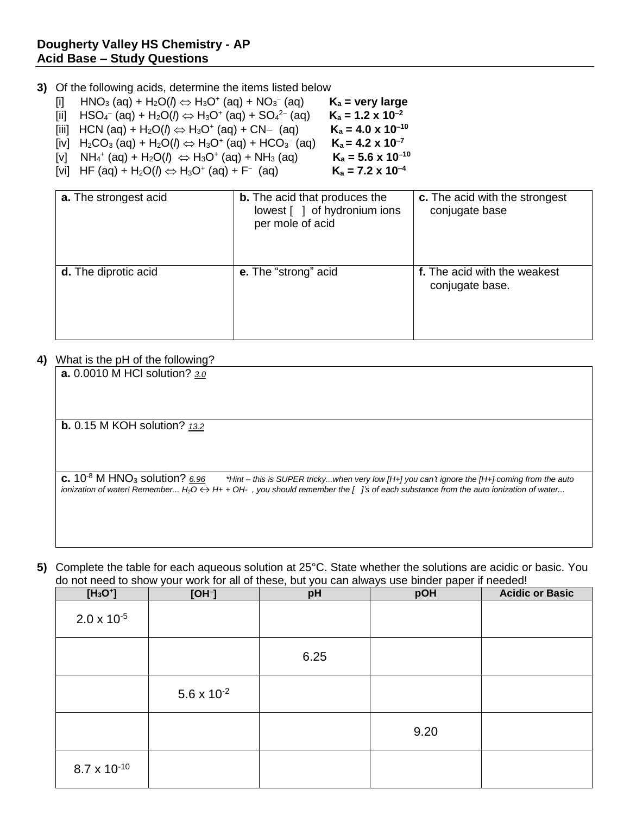## **Dougherty Valley HS Chemistry - AP Acid Base – Study Questions**

- **3)** Of the following acids, determine the items listed below
	- [i]  $HNO<sub>3</sub>$  (aq) + H<sub>2</sub>O( $\theta \Leftrightarrow H_3O^+$  (aq) + NO<sub>3</sub><sup>-</sup>  $K_a$  = very large
	- [ii]  $HSO_4^-$  (aq) +  $H_2O(\theta) \Leftrightarrow H_3O^+$  (aq) +  $SO_4^{2-}$  $K_a = 1.2 \times 10^{-2}$
	- $\text{(iii)}$  HCN (aq) + H<sub>2</sub>O( $\text{/} \Rightarrow$  H<sub>3</sub>O<sup>+</sup> (aq) + CN– (aq) **K**<sub>a</sub> = 4.0 x 10<sup>-10</sup>
	- [iv]  $H_2CO_3$  (aq) +  $H_2O(J) \Leftrightarrow H_3O^+$  (aq) +  $HCO_3^ K_a = 4.2 \times 10^{-7}$
	- $[V]$   $NH_4^+$  (aq) +  $H_2O(\ell) \iff H_3O^+$  (aq) +  $NH_3$  (aq) **K<sub>a</sub> = 5.6 x 10<sup>-10</sup>**
	- [vi] HF (aq) +  $H_2O(J) \Leftrightarrow H_3O^+$  (aq) + F<sup>-</sup>

| a. The strongest acid       | <b>b.</b> The acid that produces the<br>lowest [ ] of hydronium ions<br>per mole of acid | c. The acid with the strongest<br>conjugate base |
|-----------------------------|------------------------------------------------------------------------------------------|--------------------------------------------------|
| <b>d.</b> The diprotic acid | e. The "strong" acid                                                                     | f. The acid with the weakest<br>conjugate base.  |

 $K_a = 7.2 \times 10^{-4}$ 

## **4)** What is the pH of the following?

| <b>a.</b> 0.0010 M HCI solution? 3.0                                                                                                                                                                                                                                                                            |
|-----------------------------------------------------------------------------------------------------------------------------------------------------------------------------------------------------------------------------------------------------------------------------------------------------------------|
|                                                                                                                                                                                                                                                                                                                 |
|                                                                                                                                                                                                                                                                                                                 |
|                                                                                                                                                                                                                                                                                                                 |
| <b>b.</b> 0.15 M KOH solution? $13.2$                                                                                                                                                                                                                                                                           |
|                                                                                                                                                                                                                                                                                                                 |
|                                                                                                                                                                                                                                                                                                                 |
|                                                                                                                                                                                                                                                                                                                 |
| c. $10^{-8}$ M HNO <sub>3</sub> solution? 6.96<br>*Hint – this is SUPER trickywhen very low [H+] you can't ignore the [H+] coming from the auto<br>ionization of water! Remember H <sub>2</sub> O $\leftrightarrow$ H+ + OH-, you should remember the [ ]'s of each substance from the auto ionization of water |
|                                                                                                                                                                                                                                                                                                                 |
|                                                                                                                                                                                                                                                                                                                 |
|                                                                                                                                                                                                                                                                                                                 |

**5)** Complete the table for each aqueous solution at 25°C. State whether the solutions are acidic or basic. You do not need to show your work for all of these, but you can always use binder paper if needed!

| $[H_3O^+]$            | $[OH^-]$             | pH   | pOH  | <b>Acidic or Basic</b> |
|-----------------------|----------------------|------|------|------------------------|
| $2.0 \times 10^{-5}$  |                      |      |      |                        |
|                       |                      | 6.25 |      |                        |
|                       | $5.6 \times 10^{-2}$ |      |      |                        |
|                       |                      |      | 9.20 |                        |
| $8.7 \times 10^{-10}$ |                      |      |      |                        |